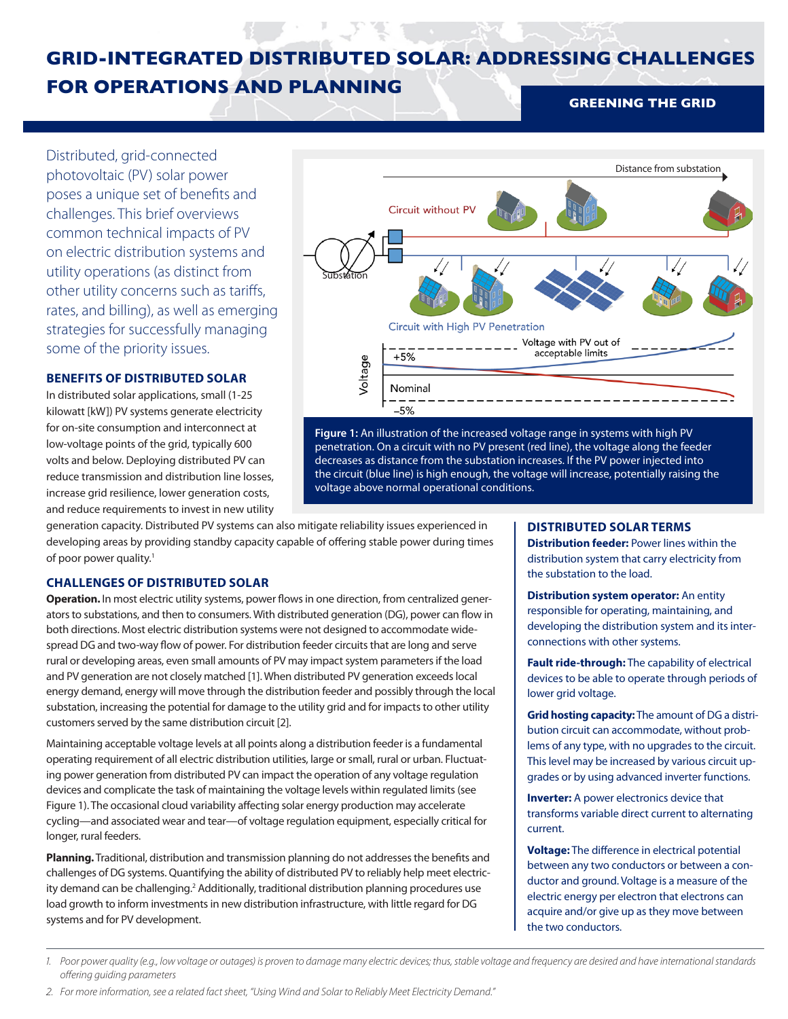# **GRID-INTEGRATED DISTRIBUTED SOLAR: ADDRESSING CHALLENGES FOR OPERATIONS AND PLANNING GREENING THE GRID**

Distributed, grid-connected photovoltaic (PV) solar power poses a unique set of benefits and challenges. This brief overviews common technical impacts of PV on electric distribution systems and utility operations (as distinct from other utility concerns such as tariffs, rates, and billing), as well as emerging strategies for successfully managing some of the priority issues.

# **BENEFITS OF DISTRIBUTED SOLAR**

In distributed solar applications, small (1-25 kilowatt [kW]) PV systems generate electricity for on-site consumption and interconnect at low-voltage points of the grid, typically 600 volts and below. Deploying distributed PV can reduce transmission and distribution line losses, increase grid resilience, lower generation costs, and reduce requirements to invest in new utility



**Figure 1:** An illustration of the increased voltage range in systems with high PV penetration. On a circuit with no PV present (red line), the voltage along the feeder decreases as distance from the substation increases. If the PV power injected into the circuit (blue line) is high enough, the voltage will increase, potentially raising the voltage above normal operational conditions.

generation capacity. Distributed PV systems can also mitigate reliability issues experienced in developing areas by providing standby capacity capable of offering stable power during times of poor power quality.<sup>1</sup>

# **CHALLENGES OF DISTRIBUTED SOLAR**

**Operation.** In most electric utility systems, power flows in one direction, from centralized generators to substations, and then to consumers. With distributed generation (DG), power can flow in both directions. Most electric distribution systems were not designed to accommodate widespread DG and two-way flow of power. For distribution feeder circuits that are long and serve rural or developing areas, even small amounts of PV may impact system parameters if the load and PV generation are not closely matched [1]. When distributed PV generation exceeds local energy demand, energy will move through the distribution feeder and possibly through the local substation, increasing the potential for damage to the utility grid and for impacts to other utility customers served by the same distribution circuit [2].

Maintaining acceptable voltage levels at all points along a distribution feeder is a fundamental operating requirement of all electric distribution utilities, large or small, rural or urban. Fluctuating power generation from distributed PV can impact the operation of any voltage regulation devices and complicate the task of maintaining the voltage levels within regulated limits (see Figure 1). The occasional cloud variability affecting solar energy production may accelerate cycling—and associated wear and tear—of voltage regulation equipment, especially critical for longer, rural feeders.

**Planning.** Traditional, distribution and transmission planning do not addresses the benefits and challenges of DG systems. Quantifying the ability of distributed PV to reliably help meet electricity demand can be challenging.<sup>2</sup> Additionally, traditional distribution planning procedures use load growth to inform investments in new distribution infrastructure, with little regard for DG systems and for PV development.

### **DISTRIBUTED SOLAR TERMS**

**Distribution feeder:** Power lines within the distribution system that carry electricity from the substation to the load.

**Distribution system operator:** An entity responsible for operating, maintaining, and developing the distribution system and its interconnections with other systems.

**Fault ride-through:** The capability of electrical devices to be able to operate through periods of lower grid voltage.

**Grid hosting capacity:** The amount of DG a distribution circuit can accommodate, without problems of any type, with no upgrades to the circuit. This level may be increased by various circuit upgrades or by using advanced inverter functions.

**Inverter:** A power electronics device that transforms variable direct current to alternating current.

**Voltage:** The difference in electrical potential between any two conductors or between a conductor and ground. Voltage is a measure of the electric energy per electron that electrons can acquire and/or give up as they move between the two conductors.

*<sup>1.</sup> Poor power quality (e.g., low voltage or outages) is proven to damage many electric devices; thus, stable voltage and frequency are desired and have international standards offering guiding parameters*